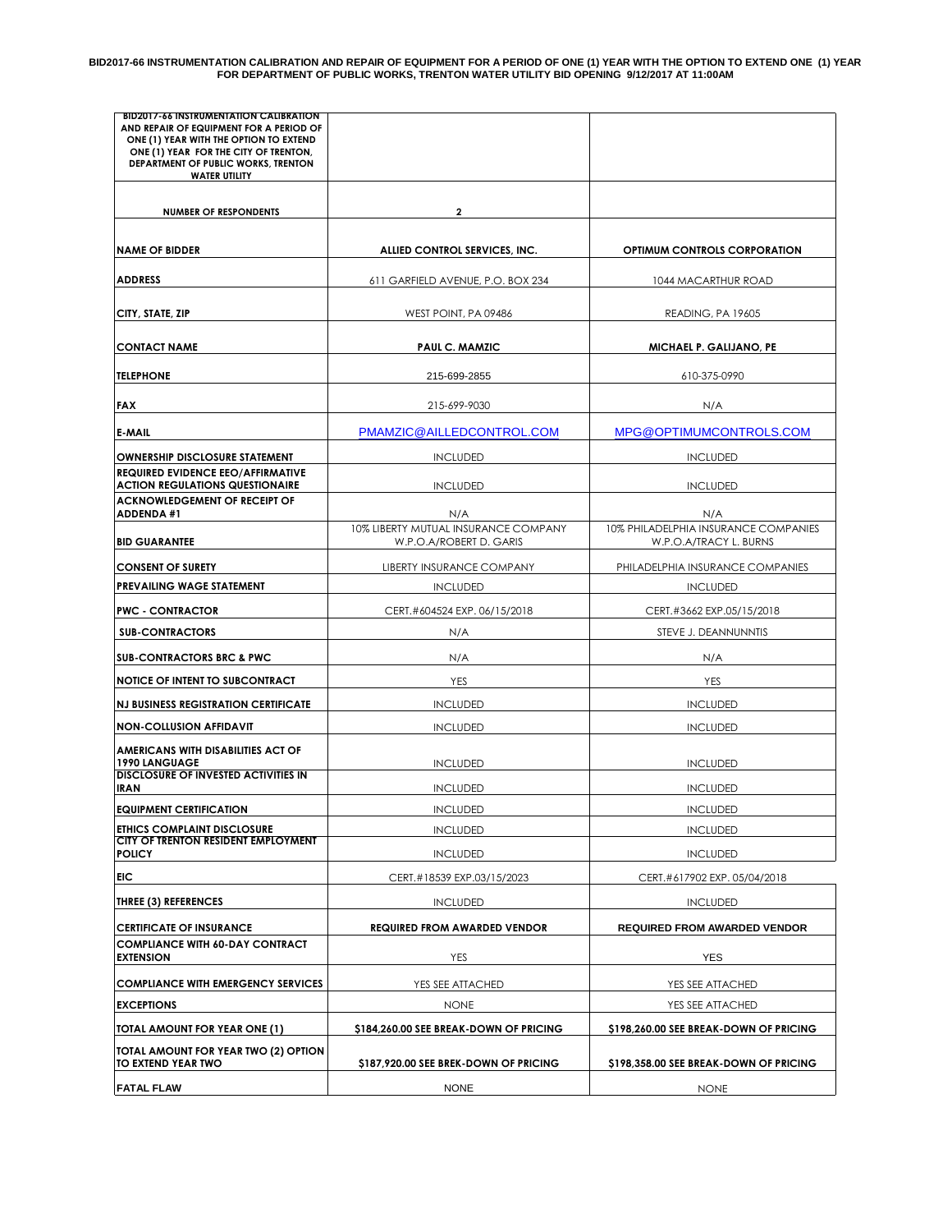**BID2017-66 INSTRUMENTATION CALIBRATION AND REPAIR OF EQUIPMENT FOR A PERIOD OF ONE (1) YEAR WITH THE OPTION TO EXTEND ONE (1) YEAR FOR DEPARTMENT OF PUBLIC WORKS, TRENTON WATER UTILITY BID OPENING 9/12/2017 AT 11:00AM**

| <b>BID2017-66 INSTRUMENTATION CALIBRATION</b><br>AND REPAIR OF EQUIPMENT FOR A PERIOD OF<br>ONE (1) YEAR WITH THE OPTION TO EXTEND<br>ONE (1) YEAR FOR THE CITY OF TRENTON.<br>DEPARTMENT OF PUBLIC WORKS, TRENTON<br><b>WATER UTILITY</b> |                                                                 |                                                                |  |
|--------------------------------------------------------------------------------------------------------------------------------------------------------------------------------------------------------------------------------------------|-----------------------------------------------------------------|----------------------------------------------------------------|--|
| <b>NUMBER OF RESPONDENTS</b>                                                                                                                                                                                                               | 2                                                               |                                                                |  |
| <b>NAME OF BIDDER</b>                                                                                                                                                                                                                      | ALLIED CONTROL SERVICES, INC.                                   | <b>OPTIMUM CONTROLS CORPORATION</b>                            |  |
| <b>ADDRESS</b>                                                                                                                                                                                                                             | 611 GARFIELD AVENUE, P.O. BOX 234                               | 1044 MACARTHUR ROAD                                            |  |
| CITY, STATE, ZIP                                                                                                                                                                                                                           | WEST POINT, PA 09486                                            | READING, PA 19605                                              |  |
| <b>CONTACT NAME</b>                                                                                                                                                                                                                        | PAUL C. MAMZIC                                                  | MICHAEL P. GALIJANO, PE                                        |  |
| <b>TELEPHONE</b>                                                                                                                                                                                                                           | 215-699-2855                                                    | 610-375-0990                                                   |  |
| <b>FAX</b>                                                                                                                                                                                                                                 | 215-699-9030                                                    | N/A                                                            |  |
| E-MAIL                                                                                                                                                                                                                                     | PMAMZIC@AILLEDCONTROL.COM                                       | MPG@OPTIMUMCONTROLS.COM                                        |  |
| <b>OWNERSHIP DISCLOSURE STATEMENT</b><br><b>REQUIRED EVIDENCE EEO/AFFIRMATIVE</b>                                                                                                                                                          | <b>INCLUDED</b>                                                 | <b>INCLUDED</b>                                                |  |
| <b>ACTION REGULATIONS QUESTIONAIRE</b><br><b>ACKNOWLEDGEMENT OF RECEIPT OF</b>                                                                                                                                                             | <b>INCLUDED</b>                                                 | <b>INCLUDED</b>                                                |  |
| <b>ADDENDA #1</b>                                                                                                                                                                                                                          | N/A                                                             | N/A                                                            |  |
| <b>BID GUARANTEE</b>                                                                                                                                                                                                                       | 10% LIBERTY MUTUAL INSURANCE COMPANY<br>W.P.O.A/ROBERT D. GARIS | 10% PHILADELPHIA INSURANCE COMPANIES<br>W.P.O.A/TRACY L. BURNS |  |
| <b>CONSENT OF SURETY</b>                                                                                                                                                                                                                   | LIBERTY INSURANCE COMPANY                                       | PHILADELPHIA INSURANCE COMPANIES                               |  |
| PREVAILING WAGE STATEMENT                                                                                                                                                                                                                  | <b>INCLUDED</b>                                                 | <b>INCLUDED</b>                                                |  |
| <b>PWC - CONTRACTOR</b>                                                                                                                                                                                                                    | CERT.#604524 EXP. 06/15/2018                                    | CERT.#3662 EXP.05/15/2018                                      |  |
| <b>SUB-CONTRACTORS</b>                                                                                                                                                                                                                     | N/A                                                             | STEVE J. DEANNUNNTIS                                           |  |
| <b>SUB-CONTRACTORS BRC &amp; PWC</b>                                                                                                                                                                                                       | N/A                                                             | N/A                                                            |  |
| NOTICE OF INTENT TO SUBCONTRACT                                                                                                                                                                                                            | <b>YES</b>                                                      | YES                                                            |  |
| <b>NJ BUSINESS REGISTRATION CERTIFICATE</b>                                                                                                                                                                                                | <b>INCLUDED</b>                                                 | <b>INCLUDED</b>                                                |  |
| <b>NON-COLLUSION AFFIDAVIT</b>                                                                                                                                                                                                             | <b>INCLUDED</b>                                                 | <b>INCLUDED</b>                                                |  |
| AMERICANS WITH DISABILITIES ACT OF<br>1990 LANGUAGE                                                                                                                                                                                        | <b>INCLUDED</b>                                                 | <b>INCLUDED</b>                                                |  |
| <b>DISCLOSURE OF INVESTED ACTIVITIES IN</b><br><b>IRAN</b>                                                                                                                                                                                 | <b>INCLUDED</b>                                                 | <b>INCLUDED</b>                                                |  |
| <b>EQUIPMENT CERTIFICATION</b>                                                                                                                                                                                                             | <b>INCLUDED</b>                                                 | <b>INCLUDED</b>                                                |  |
| ETHICS COMPLAINT DISCLOSURE<br>CITY OF TRENTON RESIDENT EMPLOYMENT<br><b>POLICY</b>                                                                                                                                                        | <b>INCLUDED</b><br><b>INCLUDED</b>                              | <b>INCLUDED</b><br><b>INCLUDED</b>                             |  |
| EIC                                                                                                                                                                                                                                        | CERT.#18539 EXP.03/15/2023                                      | CERT.#617902 EXP. 05/04/2018                                   |  |
| <b>THREE (3) REFERENCES</b>                                                                                                                                                                                                                | <b>INCLUDED</b>                                                 | <b>INCLUDED</b>                                                |  |
| <b>CERTIFICATE OF INSURANCE</b>                                                                                                                                                                                                            | <b>REQUIRED FROM AWARDED VENDOR</b>                             | <b>REQUIRED FROM AWARDED VENDOR</b>                            |  |
| <b>COMPLIANCE WITH 60-DAY CONTRACT</b><br><b>EXTENSION</b>                                                                                                                                                                                 | <b>YES</b>                                                      | <b>YES</b>                                                     |  |
| <b>COMPLIANCE WITH EMERGENCY SERVICES</b>                                                                                                                                                                                                  | YES SEE ATTACHED                                                | YES SEE ATTACHED                                               |  |
| <b>EXCEPTIONS</b>                                                                                                                                                                                                                          | <b>NONE</b>                                                     | YES SEE ATTACHED                                               |  |
| TOTAL AMOUNT FOR YEAR ONE (1)                                                                                                                                                                                                              | \$184,260.00 SEE BREAK-DOWN OF PRICING                          | \$198,260.00 SEE BREAK-DOWN OF PRICING                         |  |
| TOTAL AMOUNT FOR YEAR TWO (2) OPTION<br>TO EXTEND YEAR TWO                                                                                                                                                                                 | \$187,920.00 SEE BREK-DOWN OF PRICING                           | \$198,358.00 SEE BREAK-DOWN OF PRICING                         |  |
| <b>FATAL FLAW</b>                                                                                                                                                                                                                          | <b>NONE</b>                                                     | <b>NONE</b>                                                    |  |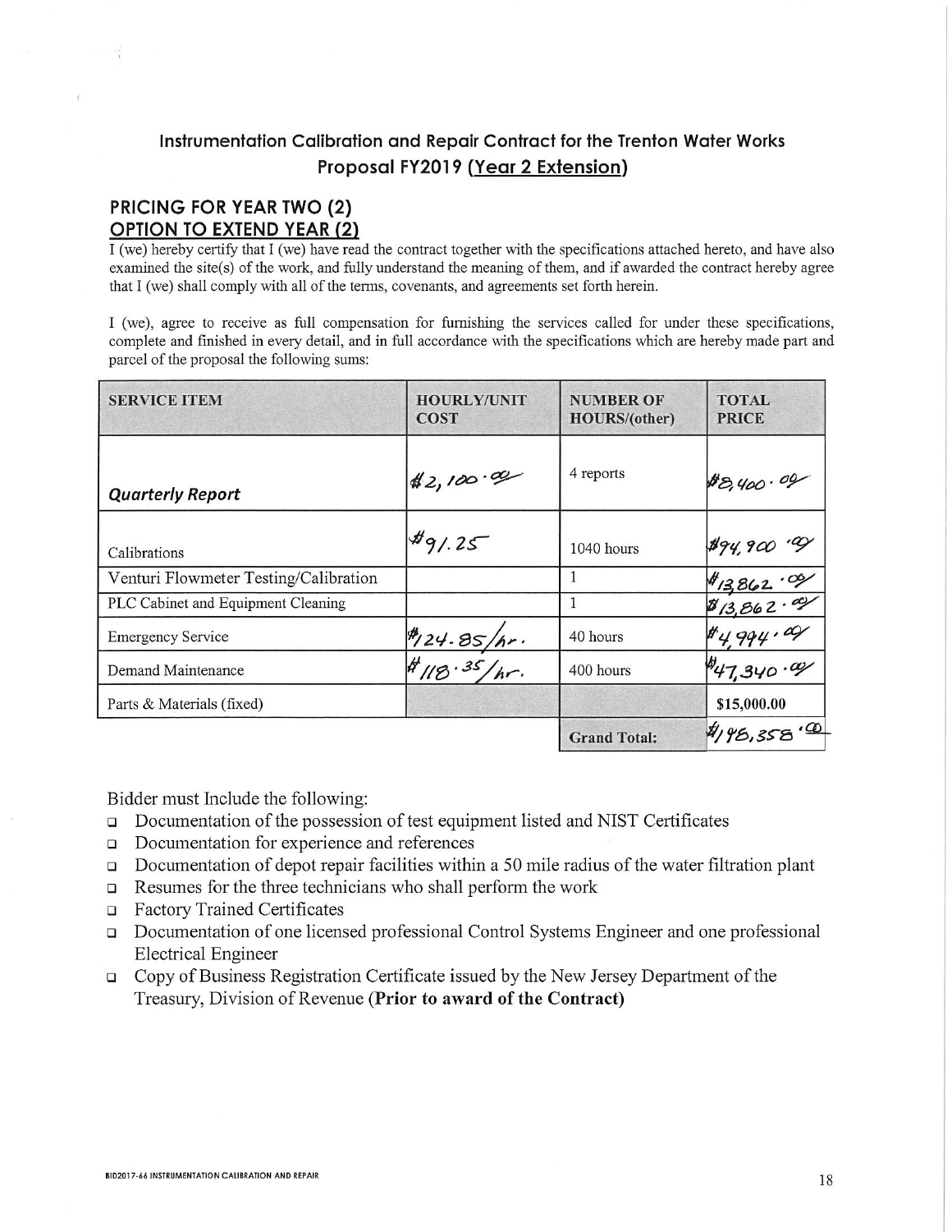## Instrumentation Calibration and Repair Contract for the Trenton Water Works Proposal FY2019 (Year 2 Extension)

## **PRICING FOR YEAR TWO (2) OPTION TO EXTEND YEAR (2)**

I (we) hereby certify that I (we) have read the contract together with the specifications attached hereto, and have also examined the site(s) of the work, and fully understand the meaning of them, and if awarded the contract hereby agree that I (we) shall comply with all of the terms, covenants, and agreements set forth herein.

I (we), agree to receive as full compensation for furnishing the services called for under these specifications, complete and finished in every detail, and in full accordance with the specifications which are hereby made part and parcel of the proposal the following sums:

| <b>SERVICE ITEM</b>                   | <b>HOURLY/UNIT</b><br><b>COST</b> | <b>NUMBER OF</b><br><b>HOURS/(other)</b> | <b>TOTAL</b><br><b>PRICE</b>             |
|---------------------------------------|-----------------------------------|------------------------------------------|------------------------------------------|
| <b>Quarterly Report</b>               | 42,100.00                         | 4 reports                                | 88,400.09                                |
| Calibrations                          | $*9/25$                           | $1040$ hours                             | #94,900.99                               |
| Venturi Flowmeter Testing/Calibration |                                   |                                          |                                          |
| PLC Cabinet and Equipment Cleaning    |                                   |                                          |                                          |
| <b>Emergency Service</b>              |                                   | 40 hours                                 | \$13,862.09<br>\$13,862.09<br>\$4,994.09 |
| Demand Maintenance                    | #124.85/hr.<br>#18.35/hr.         | 400 hours                                | $\frac{1}{47,340}$ .ay                   |
| Parts & Materials (fixed)             |                                   |                                          | \$15,000.00                              |
|                                       |                                   | <b>Grand Total:</b>                      | 4/95,358.00                              |

Bidder must Include the following:

- Documentation of the possession of test equipment listed and NIST Certificates  $\Box$
- Documentation for experience and references  $\Box$
- $\Box$  Documentation of depot repair facilities within a 50 mile radius of the water filtration plant
- Resumes for the three technicians who shall perform the work  $\Box$
- Factory Trained Certificates
- Documentation of one licensed professional Control Systems Engineer and one professional  $\Box$ **Electrical Engineer**
- □ Copy of Business Registration Certificate issued by the New Jersey Department of the Treasury, Division of Revenue (Prior to award of the Contract)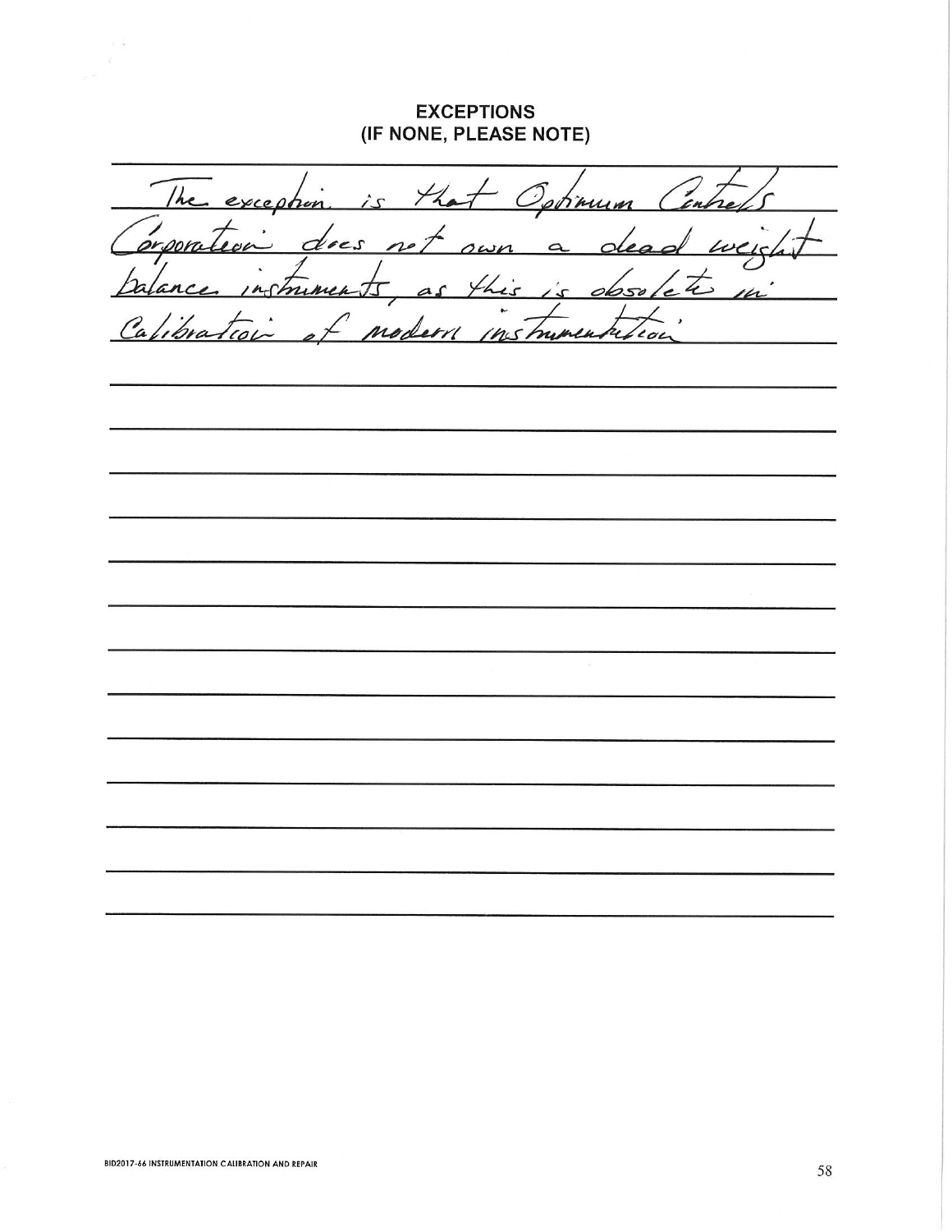## **EXCEPTIONS** (IF NONE, PLEASE NOTE)

 $\ddot{\phantom{a}}$ The exception  $H_{\bullet}$ <u>ín</u>  $\hat{C}$ otimum  $7.00$ does  $200m$  $\overline{\phantom{a}}$  $\omega_{C}$ sи  $\overline{\mathcal{L}}$  $\alpha$ mine hic  $4\overline{ }$ h  $\frac{1}{2}$ 50  $\overline{ }$ ra 'o nshunen roc 2,

 $\mathbb{C}$  .  $\mathbb{Q}$